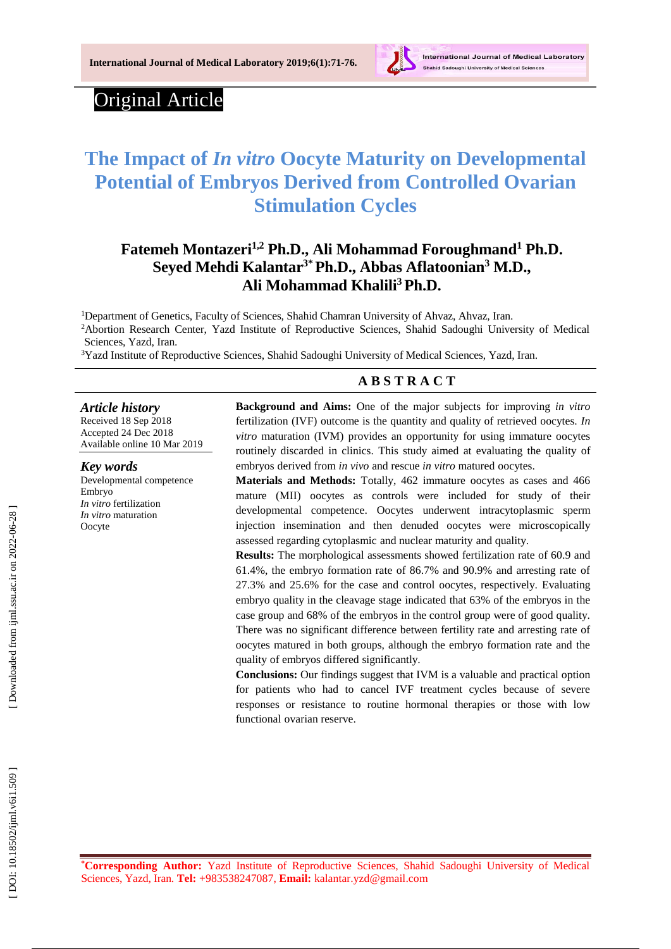

# Original Article

# **The Impact of** *In vitro* **Oocyte Maturity on Developmental Potential of Embryos Derived from Controlled Ovarian Stimulation Cycles**

# **Fatemeh Montazeri1,2 Ph.D., Ali Mohammad Foroughmand <sup>1</sup> Ph.D. [Seyed Mehdi Kalantar](https://www.sciencedirect.com/science/article/pii/S1769721217303415?via%3Dihub#!) 3 \*Ph.D., Abbas Aflatoonian <sup>3</sup> M.D., Ali Mohammad Khalili <sup>3</sup>Ph.D.**

<sup>1</sup>Department of Genetics, Faculty of Sciences, Shahid Chamran University of Ahvaz, Ahvaz, Iran. <sup>2</sup>Abortion Research Center, Yazd Institute of Reproductive Sciences, Shahid Sadoughi University of Medical Sciences, Yazd, Iran.

<sup>3</sup>Yazd Institute of Reproductive Sciences, Shahid Sadoughi University of Medical Sciences, Yazd, Iran.

## **A B S T R A C T**

#### *Article history*

Received 18 Sep 201 8 Accepted 24 Dec 201 8 Available online 10 Mar 201 9

*Key words* Developmental competence Embryo *In vitro* fertilization

*In vitro* maturation

Oocyte

**Background and Aims:** One of the major subjects for improving *in vitro*  fertilization (IVF) outcome is the quantity and quality of retrieved oocytes. *In vitro* maturation (IVM ) provides an opportunity for using immature oocytes routinely discarded in clinics. This study aimed at evaluating the quality of embryos derived from *in vivo* and rescue *in vitro* matured oocytes.

**Materials and Methods:** Totally, 462 immature oocytes as cases and 466 mature (MII) oocytes as controls were included for study of their developmental competence. Oocytes underwent intracytoplasmic sperm injection insemination and then denuded oocyte s were microscopically assessed regarding cytoplasmic and nuclear maturity and quality.

**Results:** The morphological assessments showed fertilization rate of 60.9 and 61.4%, the embryo formation rate of 86.7% and 90.9% and arresting rate of 27.3% and 25.6% for the case and control oocytes , respectively. Evaluating embryo quality in the cleavage stage indicated that 63% of the embryos in the case group and 68% of the embryos in the control group were of good quality. There was no significant difference between fertility rate and arresting rate of oocytes matured in both groups, although the embryo formation rate and the quality of embryos differed significantly.

**Conclusion s :** Our findings suggest that IVM is a valuable and practical option for patients who had to cancel IVF treatment cycles because of severe responses or resistance to routine hormonal therapies or those with low functional [ovarian reserve](https://www.sciencedirect.com/topics/medicine-and-dentistry/ovarian-reserve) .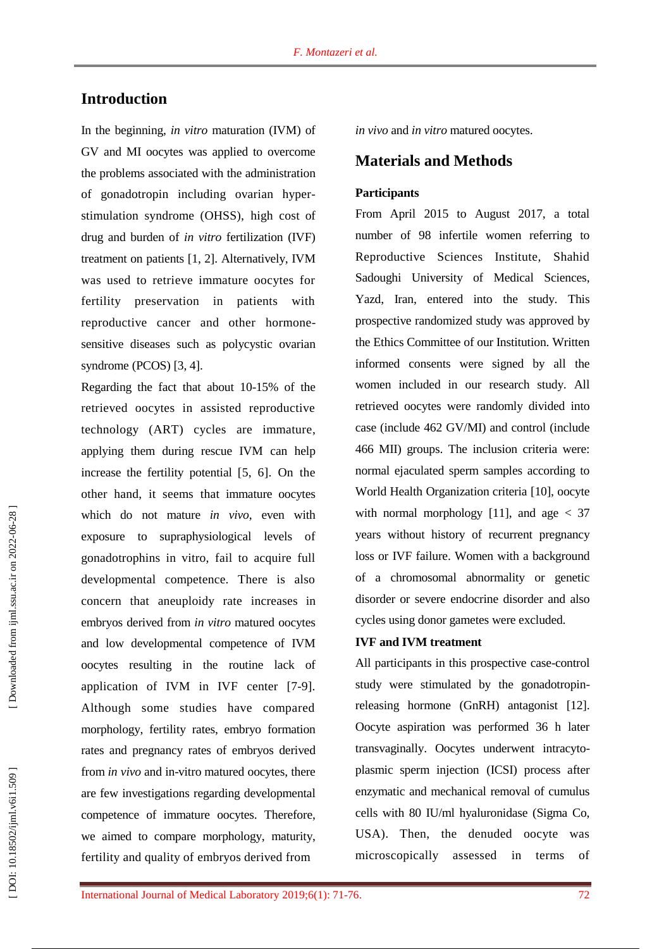# **Introduction**

In the beginning, *in vitro* maturation (IVM) of GV and MI oocytes was applied to overcome the problems associated with the administration of gonadotropin including ovarian hyper stimulation syndrome (OHSS), high cost of drug and burden of *in vitro* fertilization (IVF) treatment on patients [1, 2]. Alternatively, IVM was used to retrieve immature oocytes for fertility preservation in patients with reproductive cancer and other hormone sensitive diseases such as polycystic ovarian syndrome (PCOS) [3, 4].

Regarding the fact that about 10 -15% of the retrieved oocytes in assisted reproductive technology (ART ) cycles are immature, applying them during rescue IVM can help increase the fertility potential [5, 6]. On the other hand, it seems that immature oocytes which do not mature *in vivo*, even with exposure to supraphysiological levels of gonadotrophins in vitro, fail to acquire full developmental competence. There is also concern that aneuploidy rate increases in embryos derived from *in vitro* matured oocytes and low developmental competence of IVM oocytes resulting in the routine lack of application of IVM in IVF center [7 -9]. Although some studies have compared morphology, fertility rates, embryo formation rates and pregnancy rates of embryo s derived from *in vivo* and in-vitro matured oocytes, there are few investigation s regarding developmental competence of immature oocytes. Therefore, we aimed to compare morphology, maturity, fertility and quality of embryo s derived from

*in vivo* and *in vitro* matured oocytes.

## **Material s and Methods**

### **Participants**

From April 2015 to August 2017, a total number of 98 infertile women referring to Reproductive Sciences Institute, Shahid Sadoughi University of Medical Sciences, Yazd, Iran, entered into the study. This prospective randomized study was approved by the Ethics Committee of our Institution. Written informed consents were signed by all the women included in our research study. All retrieved oocytes were randomly divided into case (include 462 GV/MI) and control (include 466 MII) group s. The inclusion criteria were: normal ejaculated sperm samples according to World Health Organization criteria [10], oocyte with normal morphology [11], and age  $<$  37 years without history of recurrent pregnancy loss or IVF failure . Women with a background of a chromosomal abnormality or genetic disorder or severe endocrine disorder and also cycles using donor gametes were excluded.

#### **IVF and IVM treatment**

All participants in this prospective case -control study were stimulated by the gonadotropin releasing hormone (GnRH) antagonist [12]. Oocyte aspiration was performed 36 h later transvaginally. Oocytes underwent intracyto plasmic sperm injection (ICSI ) process after enzymatic and mechanical removal of cumulus cells with 80 IU/ml hyaluronidase (Sigma Co, USA). Then, the denuded oocyte was microscopically assessed in terms of

DOI: 10.18502/ijml.v6i1.509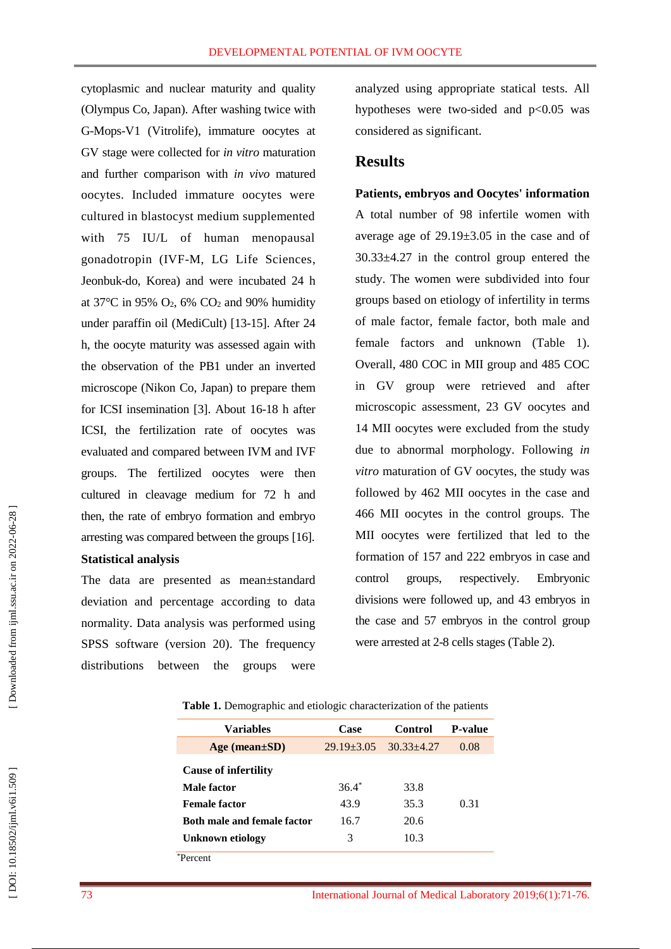cytoplasmic and nuclear maturity and quality (Olympus Co, Japan). After washing twice with G-Mops-V1 (Vitrolife), immature oocytes at GV stage were collected for *in vitro* maturation and further comparison with *in vivo* matured oocytes. Included immature oocytes were cultured in blastocyst medium supplemented with 75 IU/L of human menopausal gonadotropin (IVF -M, LG Life Sciences, Jeonbuk -do, Korea) and were incubated 24 h at  $37^{\circ}$ C in 95% O<sub>2</sub>, 6% CO<sub>2</sub> and 90% humidity under paraffin oil (MediCult) [13 -15]. After 24 h, the oocyte maturity was assessed again with the observation of the PB1 under an inverted microscope (Nikon Co, Japan) to prepare them for ICSI insemination [3]. About 16 -18 h after ICSI, the fertilization rate of oocytes was evaluated and compared between IVM and IVF groups. The fertilized oocytes were then cultured in cleavage medium for 72 h and then, the rate of embryo formation and embryo arresting was compared between the groups [16] .

#### **Statistical analysis**

The data are presented as mean±standard deviation and percentage according to data normality. Data analysis was performed using SPSS software (version 20). The frequency distributions between the groups were

analyzed using appropriate statical test s. All hypotheses were two-sided and p<0.05 was considered as significant.

## **Results**

#### **Patients, embryos and Oocytes ' information**

A total number of 98 infertile women with average age of  $29.19 \pm 3.05$  in the case and of 30.33±4.27 in the control group entered the study. The women were subdivided into four group s based on etiology of infertility in terms of male factor, female factor, both male and female factor s and unknown (Table 1). Overall, 480 COC in MII group and 485 COC in GV group were retrieved and after microscopic assessment , 23 GV oocytes and 14 MII oocytes were excluded from the study due to abnormal morphology. Following *in vitro* maturation of GV oocytes, the study was followed by 462 MII oocytes in the case and 466 MII oocytes in the control group s. The MII oocytes were fertilized that led to the formation of 157 and 222 embryos in case and control groups, respectively. Embryonic divisions were followed up, and 43 embryos in the case and 57 embryos in the control group were arrested at 2 -8 cells stages (Table 2).

| Table 1. Demographic and etiologic characterization of the patients |  |
|---------------------------------------------------------------------|--|
|---------------------------------------------------------------------|--|

| Variables                          | Case           | Control        | <b>P-value</b> |
|------------------------------------|----------------|----------------|----------------|
| Age (mean $\pm SD$ )               | $29.19 + 3.05$ | $30.33 + 4.27$ | 0.08           |
| <b>Cause of infertility</b>        |                |                |                |
| Male factor                        | $36.4*$        | 33.8           |                |
| <b>Female factor</b>               | 43.9           | 35.3           | 0.31           |
| <b>Both male and female factor</b> | 16.7           | 20.6           |                |
| Unknown etiology                   | 3              | 10.3           |                |
| 'ercent                            |                |                |                |

DOI: 10.18502/ijml.v6i1.509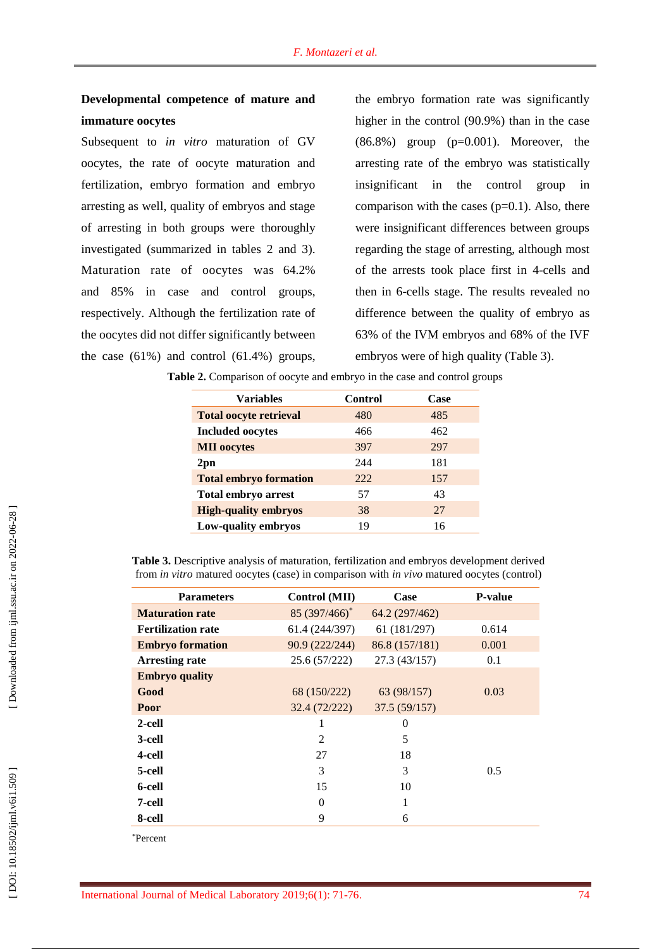# **Developmental competence of mature and immature oocytes**

Subsequent to *in vitro* maturation of GV oocyte s, the rate of oocyte maturation and fertilization, embryo formation and embryo arresting as well, quality of embryos and stage of arresting in both groups were thoroughly investigated (summarized in table s 2 and 3 ). Maturation rate of oocytes was 64. 2% and 85% in case and control groups, respectively. Although the fertilization rate of the oocytes did not differ significantly between the case  $(61\%)$  and control  $(61.4\%)$  groups,

the embryo formation rate was significantly higher in the control (90.9%) than in the case  $(86.8\%)$  group  $(p=0.001)$ . Moreover, the arresting rate of the embryo was statistically insignificant in the control group in comparison with the cases  $(p=0.1)$ . Also, there were insignificant differences between groups regarding the stage of arresting, although most of the arrest s took place first in 4 -cells and then in 6 -cells stage. The results revealed no difference between the quality of embryo as 63% of the IVM embryos and 68% of the IVF embryos were of high quality (Table 3).

| <b>Variables</b>              | Control | Case |
|-------------------------------|---------|------|
| <b>Total oocyte retrieval</b> | 480     | 485  |
| <b>Included oocytes</b>       | 466     | 462  |
| <b>MII</b> oocytes            | 397     | 297  |
| $2$ pn                        | 244     | 181  |
| <b>Total embryo formation</b> | 222.    | 157  |
| Total embryo arrest           | 57      | 43   |
| <b>High-quality embryos</b>   | 38      | 27   |
| Low-quality embryos           | 19      | 16   |

**Table 2.** Comparison of oocyte and embryo in the case and control groups

**Table 3.** Descriptive analysis of maturation, fertilization and embryos development derived from *in vitro* matured oocytes (case) in comparison with *in vivo* matured oocytes (control)

| <b>Parameters</b>         | Control (MII)  | Case           | <b>P-value</b> |
|---------------------------|----------------|----------------|----------------|
| <b>Maturation rate</b>    | 85 (397/466)*  | 64.2 (297/462) |                |
| <b>Fertilization rate</b> | 61.4 (244/397) | 61 (181/297)   | 0.614          |
| <b>Embryo formation</b>   | 90.9 (222/244) | 86.8 (157/181) | 0.001          |
| <b>Arresting rate</b>     | 25.6 (57/222)  | 27.3(43/157)   | 0.1            |
| <b>Embryo</b> quality     |                |                |                |
| Good                      | 68 (150/222)   | 63 (98/157)    | 0.03           |
| Poor                      | 32.4 (72/222)  | 37.5(59/157)   |                |
| 2-cell                    | 1              | 0              |                |
| 3-cell                    | $\overline{c}$ | 5              |                |
| 4-cell                    | 27             | 18             |                |
| 5-cell                    | 3              | 3              | 0.5            |
| 6-cell                    | 15             | 10             |                |
| 7-cell                    | $\Omega$       | 1              |                |
| 8-cell                    | 9              | 6              |                |

\*Percent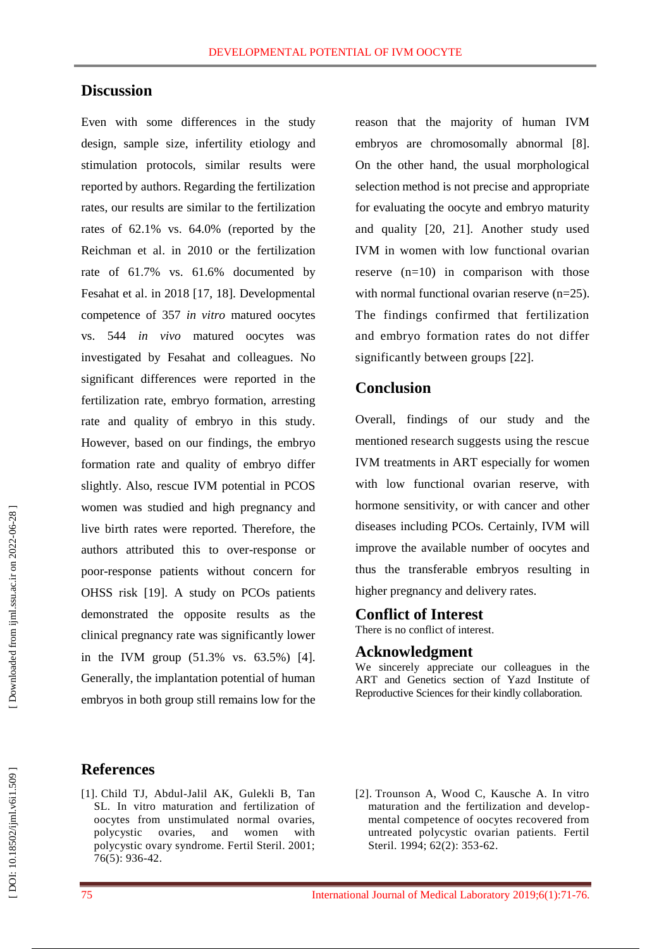## **Discussion**

Even with some differences in the study design, sample size, infertility etiology and stimulation protocols, similar results were reported by authors. Regarding the fertilization rates, our results are similar to the fertilization rates of 62.1% vs. 64.0% (reported by the Reichman et al. in 2010 or the fertilization rate of 61.7% vs. 61.6% documented by Fesahat et al. in 2018 [17, 18]. Developmental competence of 357 *in vitro* matured oocyte s vs . 544 *in vivo* matured oocyte s was investigated by Fesahat and colleagues. No significant differences were reported in the fertilization rate, embryo formation, arresting rate and quality of embryo in this study. However, based on our findings , the embryo formation rate and quality of embryo differ slightly. Also, rescue IVM potential in PCOS women was studied and high pregnancy and live birth rates were reported. Therefore, the authors attributed this to over -response or poor -response patients without concern for OHSS risk [19]. A study on PCOs patients demonstrated the opposite results as the clinical pregnancy rate was significantly lower in the IVM group (51.3% vs . 63.5%) [4]. Generally, the implantation potential of human embryos in both group still remains low for the reason that the majority of human IVM embryos are chromosomally abnormal [8]. On the other hand, the usual morphological selection method is not precise and appropriate for evaluating the oocyte and embryo maturity and quality [20, 21]. Another study used IVM in women with low functional ovarian reserve (n =10) in comparison with those with normal functional ovarian reserve (n=25). The finding s confirmed that fertilization and embryo formation rates do no t differ significantly between groups [22].

## **Conclusion**

Overall, finding s of our study and the mentioned research suggests using the rescue IVM treatments in ART especially for women with low functional ovarian reserve, with hormone sensitivity, or with cancer and other diseases including PCOs. Certainly, IVM will improve the available number of oocytes and thus the transferable embryos resulting in higher pregnancy and delivery rates.

#### **Conflict of Interest**

There is no conflict of interest.

#### **Acknowledgment**

We sincerely appreciate our colleagues in the ART and Genetics section of Yazd Institute of Reproductive Sciences for their kindly collaboration.

## **References**

- [1]. Child TJ, Abdul -Jalil AK, Gulekli B, Tan SL. In vitro maturation and fertilization of oocytes from unstimulated normal ovaries, polycystic ovaries, and women with polycystic ovary syndrome. Fertil Steril. 2001; 76(5): 93 6 -42.
- [ 2]. Trounson A, Wood C, Kausche A. In vitro maturation and the fertilization and develop mental competence of oocytes recovered from untreated polycystic ovarian patients. Fertil Steril. 1994; 62(2): 353 -62.

DOI: 10.18502/ijml.v6i1.509